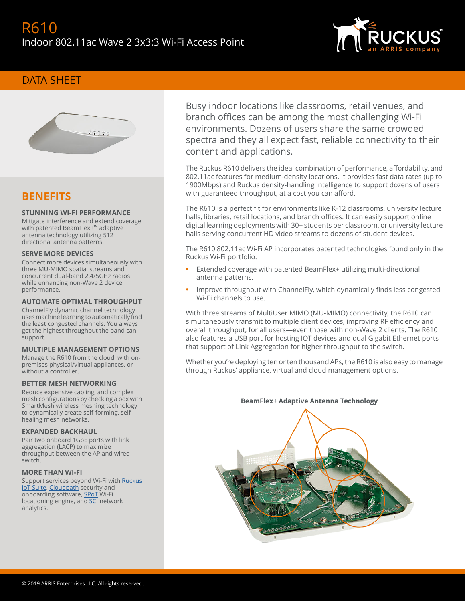

## DATA SHEET



## **BENEFITS**

## **STUNNING WI-FI PERFORMANCE**

Mitigate interference and extend coverage with patented BeamFlex+™ adaptive antenna technology utilizing 512 directional antenna patterns.

#### **SERVE MORE DEVICES**

Connect more devices simultaneously with three MU-MIMO spatial streams and concurrent dual-band 2.4/5GHz radios while enhancing non-Wave 2 device performance.

### **AUTOMATE OPTIMAL THROUGHPUT**

ChannelFly dynamic channel technology uses machine learning to automatically find the least congested channels. You always get the highest throughput the band can support.

### **MULTIPLE MANAGEMENT OPTIONS**

Manage the R610 from the cloud, with onpremises physical/virtual appliances, or without a controller.

#### **BETTER MESH NETWORKING**

Reduce expensive cabling, and complex mesh configurations by checking a box with SmartMesh wireless meshing technology to dynamically create self-forming, selfhealing mesh networks.

#### **EXPANDED BACKHAUL**

Pair two onboard 1GbE ports with link aggregation (LACP) to maximize throughput between the AP and wired switch.

### **MORE THAN WI-FI**

Support services beyond Wi-Fi with [Ruckus](https://www.ruckuswireless.com/products/iot) [IoT Suite](https://www.ruckuswireless.com/products/iot), [Cloudpath](https://www.ruckuswireless.com/products/smart-wireless-services/cloudpath) security and onboarding software, [SPoT](https://www.ruckuswireless.com/products/smart-wireless-services/location-services) Wi-Fi locationing engine, and **SCI** network analytics.

Busy indoor locations like classrooms, retail venues, and branch offices can be among the most challenging Wi-Fi environments. Dozens of users share the same crowded spectra and they all expect fast, reliable connectivity to their content and applications.

The Ruckus R610 delivers the ideal combination of performance, affordability, and 802.11ac features for medium-density locations. It provides fast data rates (up to 1900Mbps) and Ruckus density-handling intelligence to support dozens of users with guaranteed throughput, at a cost you can afford.

The R610 is a perfect fit for environments like K-12 classrooms, university lecture halls, libraries, retail locations, and branch offices. It can easily support online digital learning deployments with 30+ students per classroom, or university lecture halls serving concurrent HD video streams to dozens of student devices.

The R610 802.11ac Wi-Fi AP incorporates patented technologies found only in the Ruckus Wi-Fi portfolio.

- **•** Extended coverage with patented BeamFlex+ utilizing multi-directional antenna patterns.
- **•** Improve throughput with ChannelFly, which dynamically finds less congested Wi-Fi channels to use.

With three streams of MultiUser MIMO (MU-MIMO) connectivity, the R610 can simultaneously transmit to multiple client devices, improving RF efficiency and overall throughput, for all users—even those with non-Wave 2 clients. The R610 also features a USB port for hosting IOT devices and dual Gigabit Ethernet ports that support of Link Aggregation for higher throughput to the switch.

Whether you're deploying ten or ten thousand APs, the R610 is also easy to manage through Ruckus' appliance, virtual and cloud management options.



## **BeamFlex+ Adaptive Antenna Technology**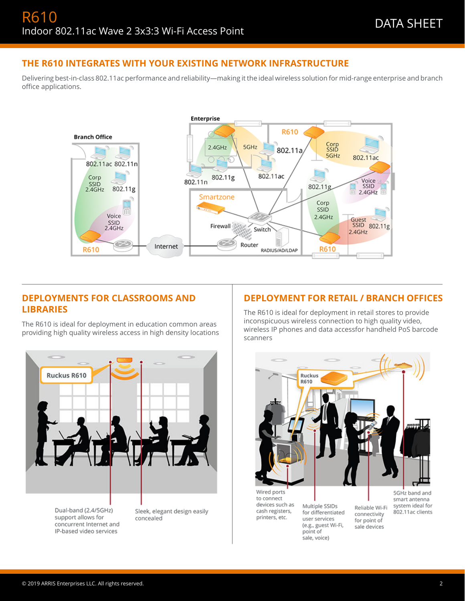## **THE R610 INTEGRATES WITH YOUR EXISTING NETWORK INFRASTRUCTURE**

Delivering best-in-class 802.11ac performance and reliability—making it the ideal wireless solution for mid-range enterprise and branch office applications.



## **DEPLOYMENTS FOR CLASSROOMS AND LIBRARIES**

The R610 is ideal for deployment in education common areas providing high quality wireless access in high density locations



## **DEPLOYMENT FOR RETAIL / BRANCH OFFICES**

The R610 is ideal for deployment in retail stores to provide inconspicuous wireless connection to high quality video, wireless IP phones and data accessfor handheld PoS barcode scanners



Wired ports to connect devices such as cash registers, printers, etc.

Multiple SSIDs for differentiated user services (e.g., guest Wi-Fi, point of sale, voice)

5GHz band and smart antenna system ideal for 802.11ac clients

Reliable Wi-Fi

connectivity

for point of

sale devices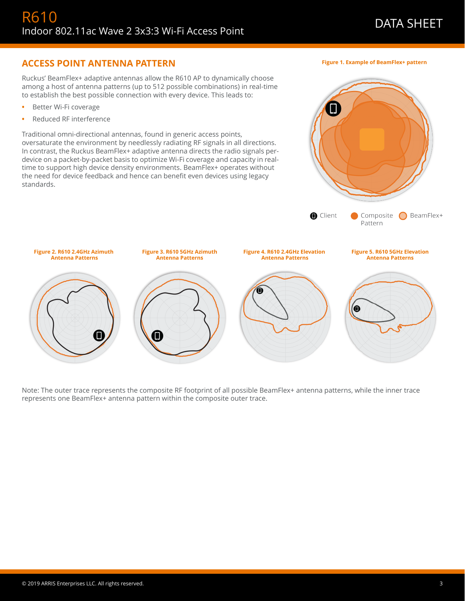## **ACCESS POINT ANTENNA PATTERN**

Ruckus' BeamFlex+ adaptive antennas allow the R610 AP to dynamically choose among a host of antenna patterns (up to 512 possible combinations) in real-time to establish the best possible connection with every device. This leads to:

- **•** Better Wi-Fi coverage
- **•** Reduced RF interference

Traditional omni-directional antennas, found in generic access points, oversaturate the environment by needlessly radiating RF signals in all directions. In contrast, the Ruckus BeamFlex+ adaptive antenna directs the radio signals perdevice on a packet-by-packet basis to optimize Wi-Fi coverage and capacity in realtime to support high device density environments. BeamFlex+ operates without the need for device feedback and hence can benefit even devices using legacy standards.



Note: The outer trace represents the composite RF footprint of all possible BeamFlex+ antenna patterns, while the inner trace represents one BeamFlex+ antenna pattern within the composite outer trace.

**Figure 1. Example of BeamFlex+ pattern**

 $\Box$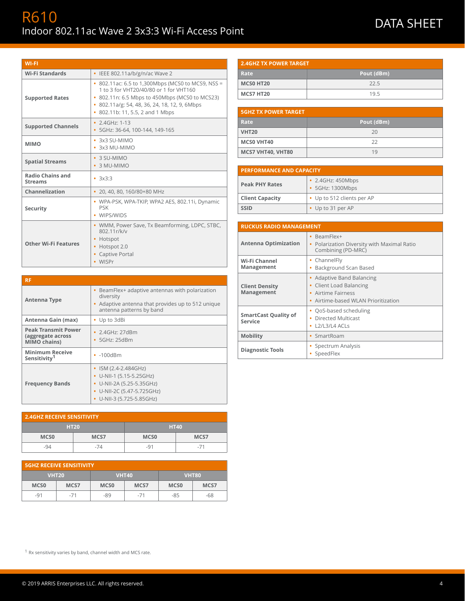# R610 RO I U<br>Indoor 802.11ac Wave 2 3x3:3 Wi-Fi Access Point DATA SHEET

| <b>WI-FI</b>                              |                                                                                                                                                                                                                                  |
|-------------------------------------------|----------------------------------------------------------------------------------------------------------------------------------------------------------------------------------------------------------------------------------|
| <b>Wi-Fi Standards</b>                    | • IEEE 802.11a/b/g/n/ac Wave 2                                                                                                                                                                                                   |
| <b>Supported Rates</b>                    | • 802.11ac: 6.5 to 1,300Mbps (MCS0 to MCS9, NSS =<br>1 to 3 for VHT20/40/80 or 1 for VHT160<br>• 802.11n: 6.5 Mbps to 450Mbps (MCS0 to MCS23)<br>• 802.11a/g: 54, 48, 36, 24, 18, 12, 9, 6Mbps<br>802.11b: 11, 5.5, 2 and 1 Mbps |
| <b>Supported Channels</b>                 | • $2.4$ GHz: 1-13<br>• 5GHz: 36-64, 100-144, 149-165                                                                                                                                                                             |
| <b>MIMO</b>                               | $\cdot$ 3x3 SU-MIMO<br>3x3 MU-MIMO                                                                                                                                                                                               |
| <b>Spatial Streams</b>                    | · 3 SU-MIMO<br>• 3 MU-MIMO                                                                                                                                                                                                       |
| <b>Radio Chains and</b><br><b>Streams</b> | $-3x3:3$                                                                                                                                                                                                                         |
| Channelization                            | 20, 40, 80, 160/80+80 MHz<br>٠                                                                                                                                                                                                   |
| Security                                  | • WPA-PSK, WPA-TKIP, WPA2 AES, 802.11i, Dynamic<br><b>PSK</b><br>WIPS/WIDS                                                                                                                                                       |
| <b>Other Wi-Fi Features</b>               | • WMM, Power Save, Tx Beamforming, LDPC, STBC,<br>802.11r/k/v<br>Hotspot<br>Hotspot 2.0<br>Captive Portal<br>WISPr                                                                                                               |

| <b>RF</b>                                                       |                                                                                                                                                |
|-----------------------------------------------------------------|------------------------------------------------------------------------------------------------------------------------------------------------|
| Antenna Type                                                    | BeamFlex+ adaptive antennas with polarization<br>diversity<br>Adaptive antenna that provides up to 512 unique<br>antenna patterns by band      |
| Antenna Gain (max)                                              | • Up to 3dBi                                                                                                                                   |
| <b>Peak Transmit Power</b><br>(aggregate across<br>MIMO chains) | • 2.4GHz: 27dBm<br>5GHz: 25dBm                                                                                                                 |
| <b>Minimum Receive</b><br>Sensitivity <sup>1</sup>              | $\cdot$ -100dBm                                                                                                                                |
| <b>Frequency Bands</b>                                          | ISM (2.4-2.484GHz)<br>$\bullet$ U-NII-1 (5.15-5.25GHz)<br>• U-NII-2A (5.25-5.35GHz)<br>• U-NII-2C (5.47-5.725GHz)<br>• U-NII-3 (5.725-5.85GHz) |

| <b>2.4GHZ RECEIVE SENSITIVITY</b> |      |             |       |
|-----------------------------------|------|-------------|-------|
| <b>HT20</b>                       |      | <b>HT40</b> |       |
| <b>MCSO</b>                       | MCS7 | <b>MCSO</b> | MCS7  |
| -94                               | -74  | $-91$       | $-71$ |

| <b>5GHZ RECEIVE SENSITIVITY</b> |              |             |              |                  |              |
|---------------------------------|--------------|-------------|--------------|------------------|--------------|
|                                 | <b>VHT20</b> |             | <b>VHT40</b> |                  | <b>VHT80</b> |
| MCS <sub>0</sub>                | MCS7         | <b>MCSO</b> | MCS7         | MCS <sub>0</sub> | MCS7         |
| $-91$                           | $-71$        | -89         | $-71$        | $-85$            | -68          |

| <b>2.4GHZ TX POWER TARGET</b> |            |  |
|-------------------------------|------------|--|
| Rate                          | Pout (dBm) |  |
| MCS0 HT20                     | 22.5       |  |
| MCS7 HT20                     | 19.5       |  |

| <b>5GHZ TX POWER TARGET</b> |            |  |
|-----------------------------|------------|--|
| Rate                        | Pout (dBm) |  |
| <b>VHT20</b>                | 20         |  |
| <b>MCSO VHT40</b>           | 22         |  |
| MCS7 VHT40, VHT80           | 19         |  |

| <b>PERFORMANCE AND CAPACITY</b> |                                       |  |
|---------------------------------|---------------------------------------|--|
| <b>Peak PHY Rates</b>           | • 2.4GHz: 450Mbps<br>• 5GHz: 1300Mbps |  |
| <b>Client Capacity</b>          | • Up to 512 clients per AP            |  |
| <b>SSID</b>                     | • Up to 31 per AP                     |  |

| <b>RUCKUS RADIO MANAGEMENT</b>         |                                                                                                                      |
|----------------------------------------|----------------------------------------------------------------------------------------------------------------------|
| <b>Antenna Optimization</b>            | BeamFlex+<br>Polarization Diversity with Maximal Ratio<br>Combining (PD-MRC)                                         |
| Wi-Fi Channel<br>Management            | • ChannelFly<br>Background Scan Based                                                                                |
| <b>Client Density</b><br>Management    | Adaptive Band Balancing<br><b>Client Load Balancing</b><br>• Airtime Fairness<br>• Airtime-based WLAN Prioritization |
| <b>SmartCast Quality of</b><br>Service | QoS-based scheduling<br>Directed Multicast<br>$L2/L3/L4$ ACLs                                                        |
| <b>Mobility</b>                        | SmartRoam<br>٠                                                                                                       |
| <b>Diagnostic Tools</b>                | Spectrum Analysis<br>SpeedFlex                                                                                       |

 $1$  Rx sensitivity varies by band, channel width and MCS rate.